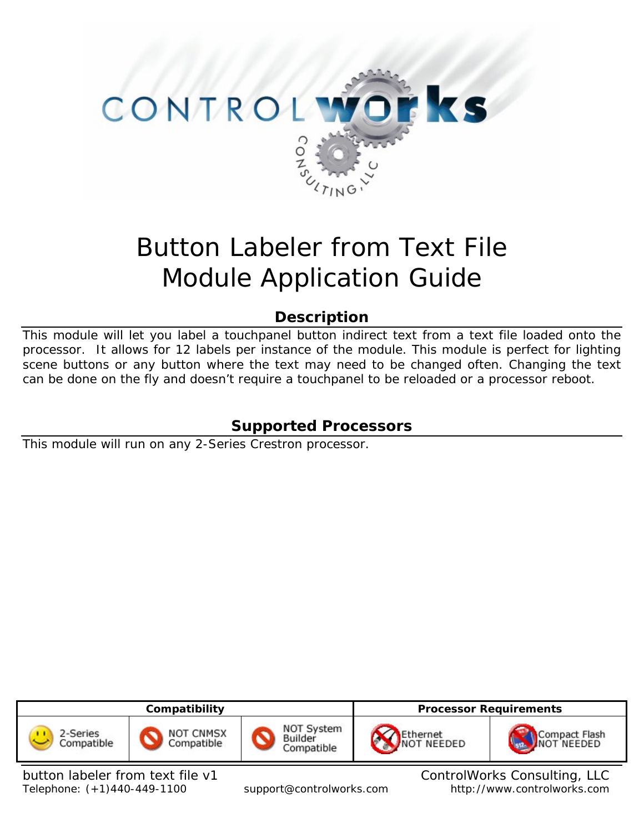

# Button Labeler from Text File Module Application Guide

## **Description**

This module will let you label a touchpanel button indirect text from a text file loaded onto the processor. It allows for 12 labels per instance of the module. This module is perfect for lighting scene buttons or any button where the text may need to be changed often. Changing the text can be done on the fly and doesn't require a touchpanel to be reloaded or a processor reboot.

## **Supported Processors**

This module will run on any 2-Series Crestron processor.



button labeler from text file v1 ControlWorks Consulting, LLC Telephone: (+1)440-449-1100 support@controlworks.com http://www.controlworks.com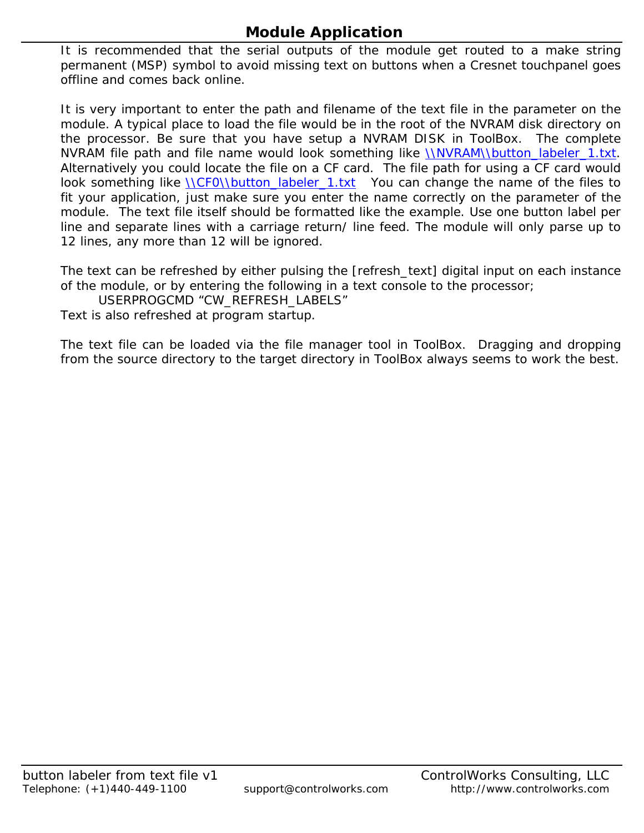## **Module Application**

It is recommended that the serial outputs of the module get routed to a make string permanent (MSP) symbol to avoid missing text on buttons when a Cresnet touchpanel goes offline and comes back online.

It is very important to enter the path and filename of the text file in the parameter on the module. A typical place to load the file would be in the root of the NVRAM disk directory on the processor. Be sure that you have setup a NVRAM DISK in ToolBox. The complete NVRAM file path and file name would look something like \\NVRAM\\button\_labeler\_1.txt. Alternatively you could locate the file on a CF card. The file path for using a CF card would look something like *NCF0Nbutton\_labeler\_1.txt* You can change the name of the files to fit your application, just make sure you enter the name correctly on the parameter of the module. The text file itself should be formatted like the example. Use one button label per line and separate lines with a carriage return/ line feed. The module will only parse up to 12 lines, any more than 12 will be ignored.

The text can be refreshed by either pulsing the [refresh\_text] digital input on each instance of the module, or by entering the following in a text console to the processor;

USERPROGCMD "CW\_REFRESH\_LABELS"

Text is also refreshed at program startup.

The text file can be loaded via the file manager tool in ToolBox. Dragging and dropping from the source directory to the target directory in ToolBox always seems to work the best.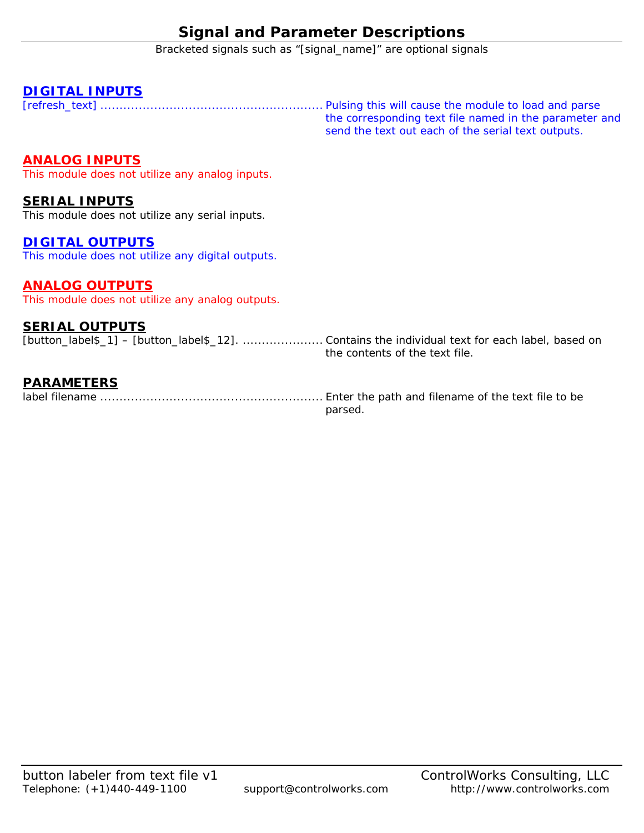## **Signal and Parameter Descriptions**

Bracketed signals such as "[signal\_name]" are optional signals

#### **DIGITAL INPUTS**

[refresh\_text] .......................................................... Pulsing this will cause the module to load and parse the corresponding text file named in the parameter and send the text out each of the serial text outputs.

### **ANALOG INPUTS**

This module does not utilize any analog inputs.

#### **SERIAL INPUTS**

This module does not utilize any serial inputs.

#### **DIGITAL OUTPUTS**

This module does not utilize any digital outputs.

#### **ANALOG OUTPUTS**

This module does not utilize any analog outputs.

#### **SERIAL OUTPUTS**

| [button_label\$_1] – [button_label\$_12].  Contains the individual text for each label, based on |
|--------------------------------------------------------------------------------------------------|
| the contents of the text file.                                                                   |

#### **PARAMETERS**

label filename .......................................................... Enter the path and filename of the text file to be

parsed.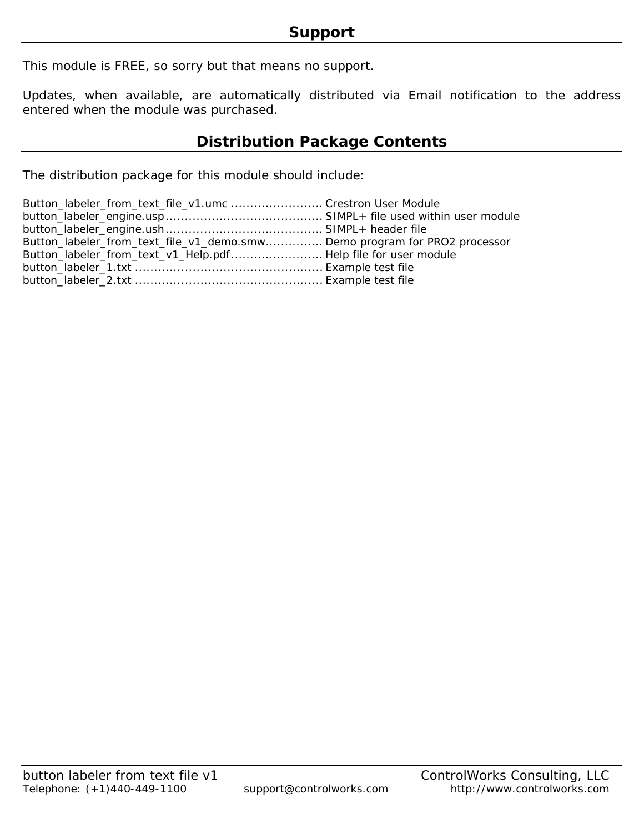This module is FREE, so sorry but that means no support.

Updates, when available, are automatically distributed via Email notification to the address entered when the module was purchased.

## **Distribution Package Contents**

The distribution package for this module should include:

| Button_labeler_from_text_file_v1.umc Crestron User Module                |  |
|--------------------------------------------------------------------------|--|
|                                                                          |  |
|                                                                          |  |
| Button_labeler_from_text_file_v1_demo.smwDemo program for PRO2 processor |  |
| Button_labeler_from_text_v1_Help.pdf Help file for user module           |  |
|                                                                          |  |
|                                                                          |  |